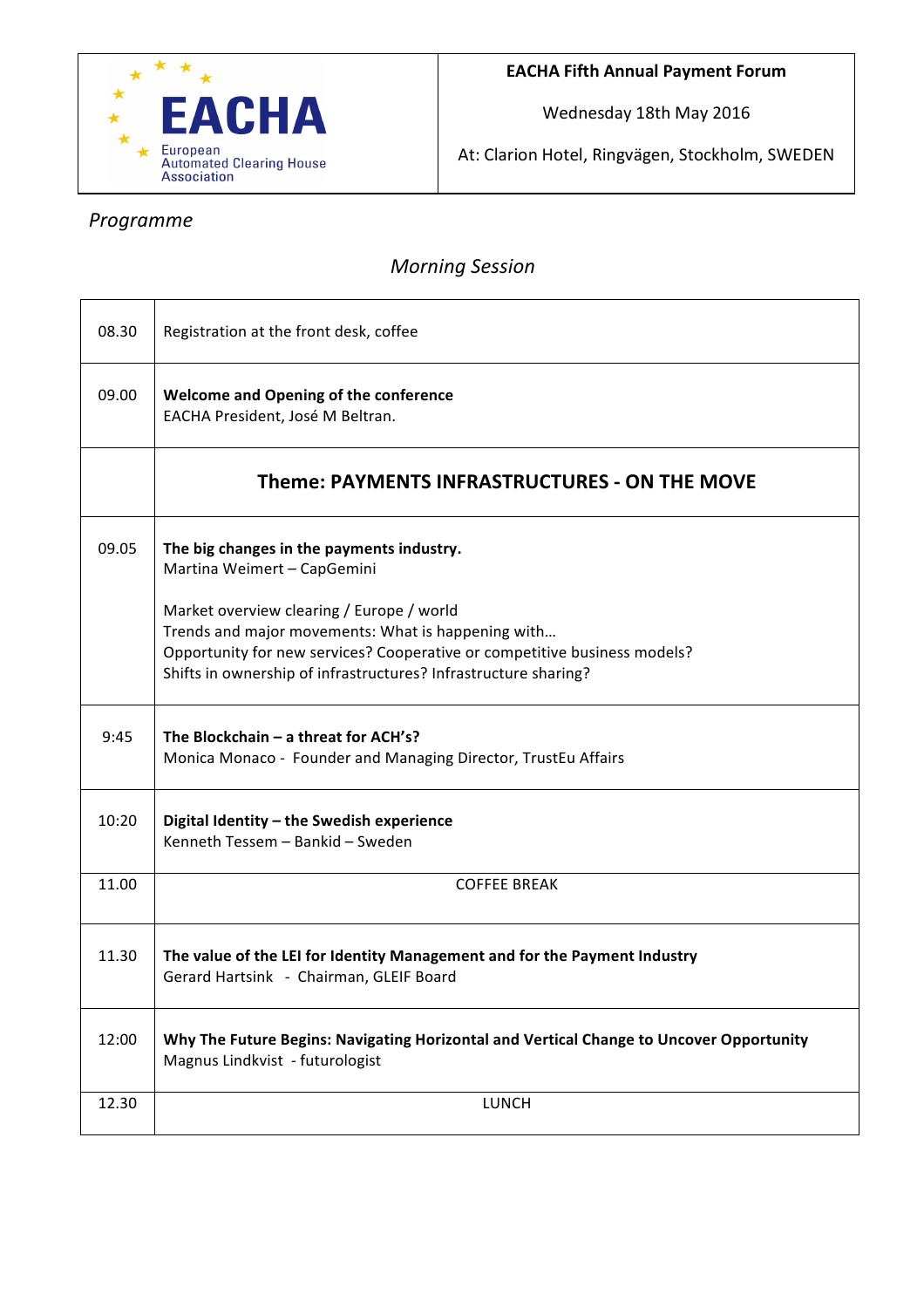

Wednesday 18th May 2016

At: Clarion Hotel, Ringvägen, Stockholm, SWEDEN

٦

## *Programme*

 $\overline{\phantom{a}}$ 

## *Morning Session*

| 08.30 | Registration at the front desk, coffee                                                                                          |
|-------|---------------------------------------------------------------------------------------------------------------------------------|
| 09.00 | Welcome and Opening of the conference<br>EACHA President, José M Beltran.                                                       |
|       | Theme: PAYMENTS INFRASTRUCTURES - ON THE MOVE                                                                                   |
| 09.05 | The big changes in the payments industry.<br>Martina Weimert - CapGemini                                                        |
|       | Market overview clearing / Europe / world                                                                                       |
|       | Trends and major movements: What is happening with<br>Opportunity for new services? Cooperative or competitive business models? |
|       | Shifts in ownership of infrastructures? Infrastructure sharing?                                                                 |
| 9:45  | The Blockchain $-$ a threat for ACH's?<br>Monica Monaco - Founder and Managing Director, TrustEu Affairs                        |
| 10:20 | Digital Identity - the Swedish experience<br>Kenneth Tessem - Bankid - Sweden                                                   |
| 11.00 | <b>COFFEE BREAK</b>                                                                                                             |
| 11.30 | The value of the LEI for Identity Management and for the Payment Industry<br>Gerard Hartsink - Chairman, GLEIF Board            |
| 12:00 | Why The Future Begins: Navigating Horizontal and Vertical Change to Uncover Opportunity<br>Magnus Lindkvist - futurologist      |
| 12.30 | <b>LUNCH</b>                                                                                                                    |